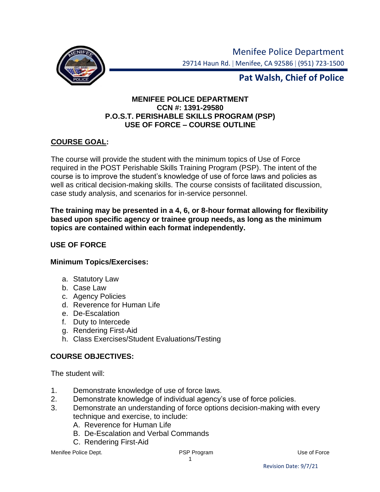

Menifee Police Department 29714 Haun Rd. | Menifee, CA 92586 | (951) 723-1500

# **Pat Walsh, Chief of Police**

### **MENIFEE POLICE DEPARTMENT CCN #: 1391-29580 P.O.S.T. PERISHABLE SKILLS PROGRAM (PSP) USE OF FORCE – COURSE OUTLINE**

### **COURSE GOAL:**

The course will provide the student with the minimum topics of Use of Force required in the POST Perishable Skills Training Program (PSP). The intent of the course is to improve the student's knowledge of use of force laws and policies as well as critical decision-making skills. The course consists of facilitated discussion, case study analysis, and scenarios for in-service personnel.

#### **The training may be presented in a 4, 6, or 8-hour format allowing for flexibility based upon specific agency or trainee group needs, as long as the minimum topics are contained within each format independently.**

#### **USE OF FORCE**

#### **Minimum Topics/Exercises:**

- a. Statutory Law
- b. Case Law
- c. Agency Policies
- d. Reverence for Human Life
- e. De-Escalation
- f. Duty to Intercede
- g. Rendering First-Aid
- h. Class Exercises/Student Evaluations/Testing

#### **COURSE OBJECTIVES:**

The student will:

- 1. Demonstrate knowledge of use of force laws.
- 2. Demonstrate knowledge of individual agency's use of force policies.
- 3. Demonstrate an understanding of force options decision-making with every technique and exercise, to include:
	- A. Reverence for Human Life
	- B. De-Escalation and Verbal Commands
	- C. Rendering First-Aid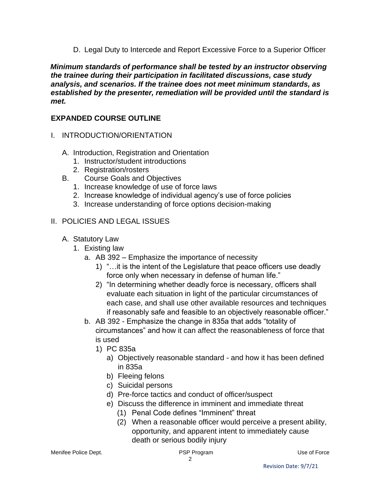D. Legal Duty to Intercede and Report Excessive Force to a Superior Officer

*Minimum standards of performance shall be tested by an instructor observing the trainee during their participation in facilitated discussions, case study analysis, and scenarios. If the trainee does not meet minimum standards, as established by the presenter, remediation will be provided until the standard is met.* 

## **EXPANDED COURSE OUTLINE**

- I. INTRODUCTION/ORIENTATION
	- A. Introduction, Registration and Orientation
		- 1. Instructor/student introductions
		- 2. Registration/rosters
	- B. Course Goals and Objectives
		- 1. Increase knowledge of use of force laws
		- 2. Increase knowledge of individual agency's use of force policies
		- 3. Increase understanding of force options decision-making

## II. POLICIES AND LEGAL ISSUES

- A. Statutory Law
	- 1. Existing law
		- a. AB 392 Emphasize the importance of necessity
			- 1) "…it is the intent of the Legislature that peace officers use deadly force only when necessary in defense of human life."
			- 2) "In determining whether deadly force is necessary, officers shall evaluate each situation in light of the particular circumstances of each case, and shall use other available resources and techniques if reasonably safe and feasible to an objectively reasonable officer."
		- b. AB 392 Emphasize the change in 835a that adds "totality of circumstances" and how it can affect the reasonableness of force that is used
			- 1) PC 835a
				- a) Objectively reasonable standard and how it has been defined in 835a
				- b) Fleeing felons
				- c) Suicidal persons
				- d) Pre-force tactics and conduct of officer/suspect
				- e) Discuss the difference in imminent and immediate threat
					- (1) Penal Code defines "Imminent" threat
					- (2) When a reasonable officer would perceive a present ability, opportunity, and apparent intent to immediately cause death or serious bodily injury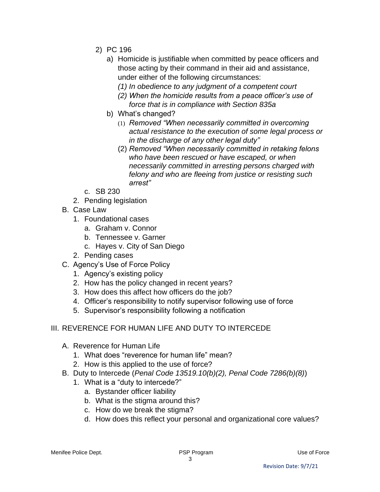- 2) PC 196
	- a) Homicide is justifiable when committed by peace officers and those acting by their command in their aid and assistance, under either of the following circumstances:
		- *(1) In obedience to any judgment of a competent court*
		- *(2) When the homicide results from a peace officer's use of force that is in compliance with Section 835a*
	- b) What's changed?
		- (1) *Removed "When necessarily committed in overcoming actual resistance to the execution of some legal process or in the discharge of any other legal duty"*
		- (2) *Removed "When necessarily committed in retaking felons who have been rescued or have escaped, or when necessarily committed in arresting persons charged with felony and who are fleeing from justice or resisting such arrest"*
- c. SB 230
- 2. Pending legislation
- B. Case Law
	- 1. Foundational cases
		- a. Graham v. Connor
		- b. Tennessee v. Garner
		- c. Hayes v. City of San Diego
	- 2. Pending cases
- C. Agency's Use of Force Policy
	- 1. Agency's existing policy
	- 2. How has the policy changed in recent years?
	- 3. How does this affect how officers do the job?
	- 4. Officer's responsibility to notify supervisor following use of force
	- 5. Supervisor's responsibility following a notification
- III. REVERENCE FOR HUMAN LIFE AND DUTY TO INTERCEDE
	- A. Reverence for Human Life
		- 1. What does "reverence for human life" mean?
		- 2. How is this applied to the use of force?
	- B. Duty to Intercede (*Penal Code 13519.10(b)(2), Penal Code 7286(b)(8)*)
		- 1. What is a "duty to intercede?"
			- a. Bystander officer liability
			- b. What is the stigma around this?
			- c. How do we break the stigma?
			- d. How does this reflect your personal and organizational core values?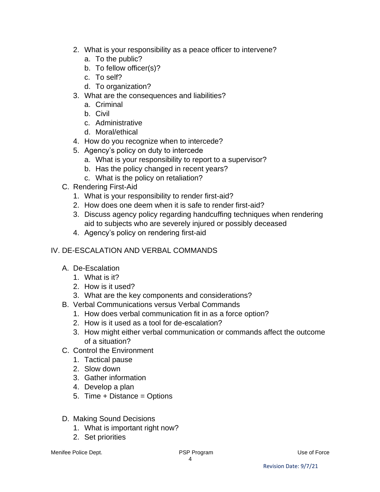- 2. What is your responsibility as a peace officer to intervene?
	- a. To the public?
	- b. To fellow officer(s)?
	- c. To self?
	- d. To organization?
- 3. What are the consequences and liabilities?
	- a. Criminal
	- b. Civil
	- c. Administrative
	- d. Moral/ethical
- 4. How do you recognize when to intercede?
- 5. Agency's policy on duty to intercede
	- a. What is your responsibility to report to a supervisor?
	- b. Has the policy changed in recent years?
	- c. What is the policy on retaliation?
- C. Rendering First-Aid
	- 1. What is your responsibility to render first-aid?
	- 2. How does one deem when it is safe to render first-aid?
	- 3. Discuss agency policy regarding handcuffing techniques when rendering aid to subjects who are severely injured or possibly deceased
	- 4. Agency's policy on rendering first-aid

## IV. DE-ESCALATION AND VERBAL COMMANDS

- A. De-Escalation
	- 1. What is it?
	- 2. How is it used?
	- 3. What are the key components and considerations?
- B. Verbal Communications versus Verbal Commands
	- 1. How does verbal communication fit in as a force option?
	- 2. How is it used as a tool for de-escalation?
	- 3. How might either verbal communication or commands affect the outcome of a situation?
- C. Control the Environment
	- 1. Tactical pause
	- 2. Slow down
	- 3. Gather information
	- 4. Develop a plan
	- 5. Time + Distance = Options
- D. Making Sound Decisions
	- 1. What is important right now?
	- 2. Set priorities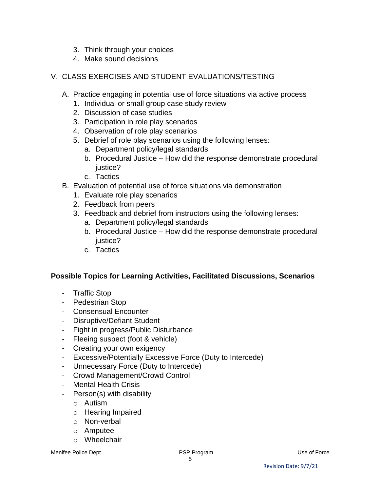- 3. Think through your choices
- 4. Make sound decisions
- V. CLASS EXERCISES AND STUDENT EVALUATIONS/TESTING
	- A. Practice engaging in potential use of force situations via active process
		- 1. Individual or small group case study review
		- 2. Discussion of case studies
		- 3. Participation in role play scenarios
		- 4. Observation of role play scenarios
		- 5. Debrief of role play scenarios using the following lenses:
			- a. Department policy/legal standards
			- b. Procedural Justice How did the response demonstrate procedural justice?
			- c. Tactics
	- B. Evaluation of potential use of force situations via demonstration
		- 1. Evaluate role play scenarios
		- 2. Feedback from peers
		- 3. Feedback and debrief from instructors using the following lenses:
			- a. Department policy/legal standards
			- b. Procedural Justice How did the response demonstrate procedural justice?
			- c. Tactics

#### **Possible Topics for Learning Activities, Facilitated Discussions, Scenarios**

- Traffic Stop
- Pedestrian Stop
- Consensual Encounter
- Disruptive/Defiant Student
- Fight in progress/Public Disturbance
- Fleeing suspect (foot & vehicle)
- Creating your own exigency
- Excessive/Potentially Excessive Force (Duty to Intercede)
- Unnecessary Force (Duty to Intercede)
- Crowd Management/Crowd Control
- Mental Health Crisis
- Person(s) with disability
	- o Autism
	- o Hearing Impaired
	- o Non-verbal
	- o Amputee
	- o Wheelchair